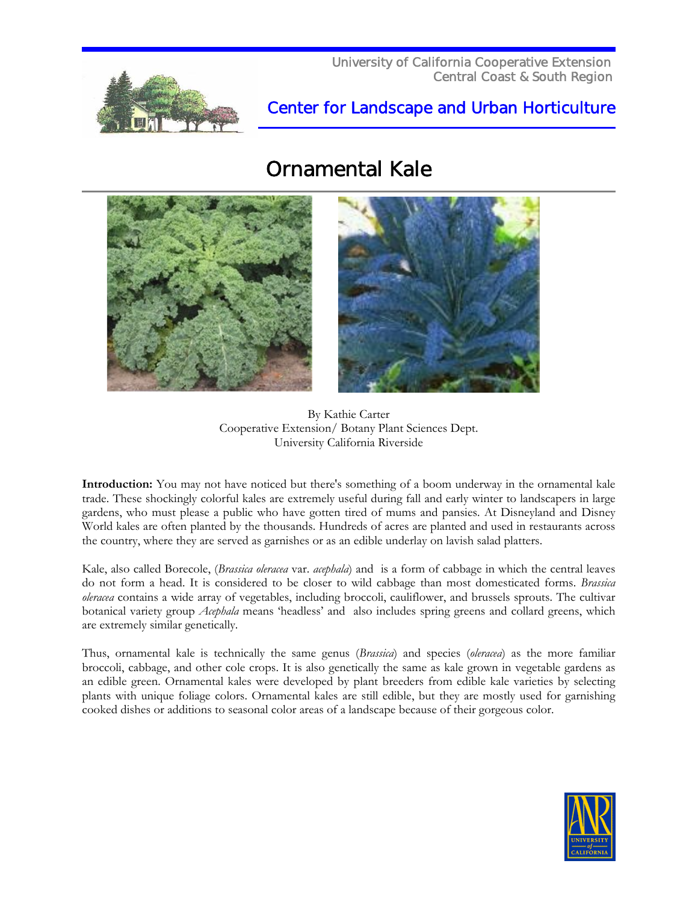

## Center for Landscape and Urban Horticulture

## Ornamental Kale





By Kathie Carter Cooperative Extension/ Botany Plant Sciences Dept. University California Riverside

**Introduction:** You may not have noticed but there's something of a boom underway in the ornamental kale trade. These shockingly colorful kales are extremely useful during fall and early winter to landscapers in large gardens, who must please a public who have gotten tired of mums and pansies. At Disneyland and Disney World kales are often planted by the thousands. Hundreds of acres are planted and used in restaurants across the country, where they are served as garnishes or as an edible underlay on lavish salad platters.

Kale, also called Borecole, (*Brassica oleracea* var. *acephala*) and is a form of cabbage in which the central leaves do not form a head. It is considered to be closer to wild cabbage than most domesticated forms. *Brassica oleracea* contains a wide array of vegetables, including broccoli, cauliflower, and brussels sprouts. The cultivar botanical variety group *Acephala* means 'headless' and also includes spring greens and collard greens, which are extremely similar genetically.

Thus, ornamental kale is technically the same genus (*Brassica*) and species (*oleracea*) as the more familiar broccoli, cabbage, and other cole crops. It is also genetically the same as kale grown in vegetable gardens as an edible green. Ornamental kales were developed by plant breeders from edible kale varieties by selecting plants with unique foliage colors. Ornamental kales are still edible, but they are mostly used for garnishing cooked dishes or additions to seasonal color areas of a landscape because of their gorgeous color.

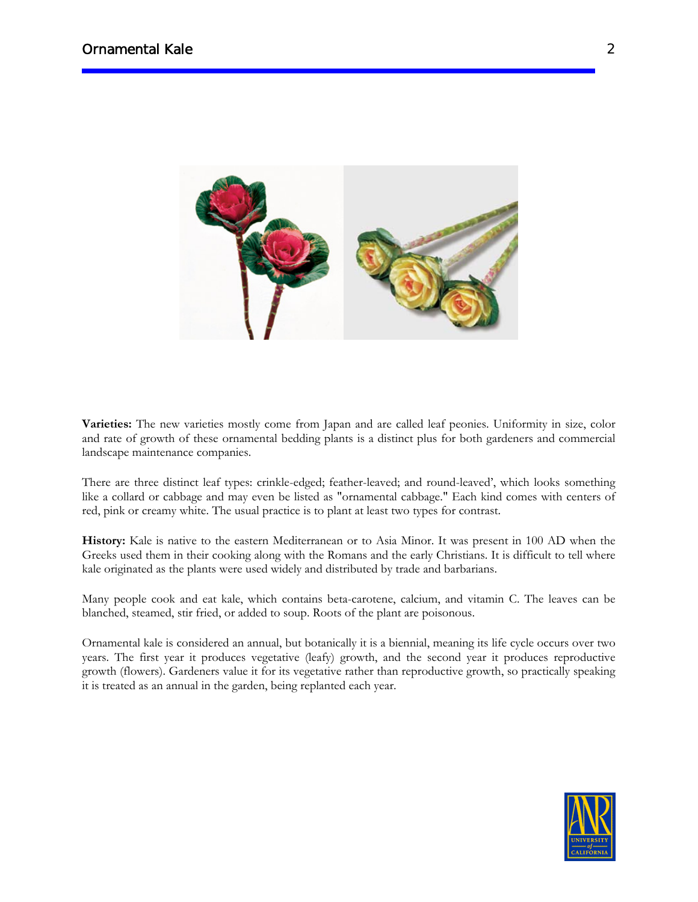

**Varieties:** The new varieties mostly come from Japan and are called leaf peonies. Uniformity in size, color and rate of growth of these ornamental bedding plants is a distinct plus for both gardeners and commercial landscape maintenance companies.

There are three distinct leaf types: crinkle-edged; feather-leaved; and round-leaved', which looks something like a collard or cabbage and may even be listed as "ornamental cabbage." Each kind comes with centers of red, pink or creamy white. The usual practice is to plant at least two types for contrast.

**History:** Kale is native to the eastern Mediterranean or to Asia Minor. It was present in 100 AD when the Greeks used them in their cooking along with the Romans and the early Christians. It is difficult to tell where kale originated as the plants were used widely and distributed by trade and barbarians.

Many people cook and eat kale, which contains beta-carotene, calcium, and vitamin C. The leaves can be blanched, steamed, stir fried, or added to soup. Roots of the plant are poisonous.

Ornamental kale is considered an annual, but botanically it is a biennial, meaning its life cycle occurs over two years. The first year it produces vegetative (leafy) growth, and the second year it produces reproductive growth (flowers). Gardeners value it for its vegetative rather than reproductive growth, so practically speaking it is treated as an annual in the garden, being replanted each year.

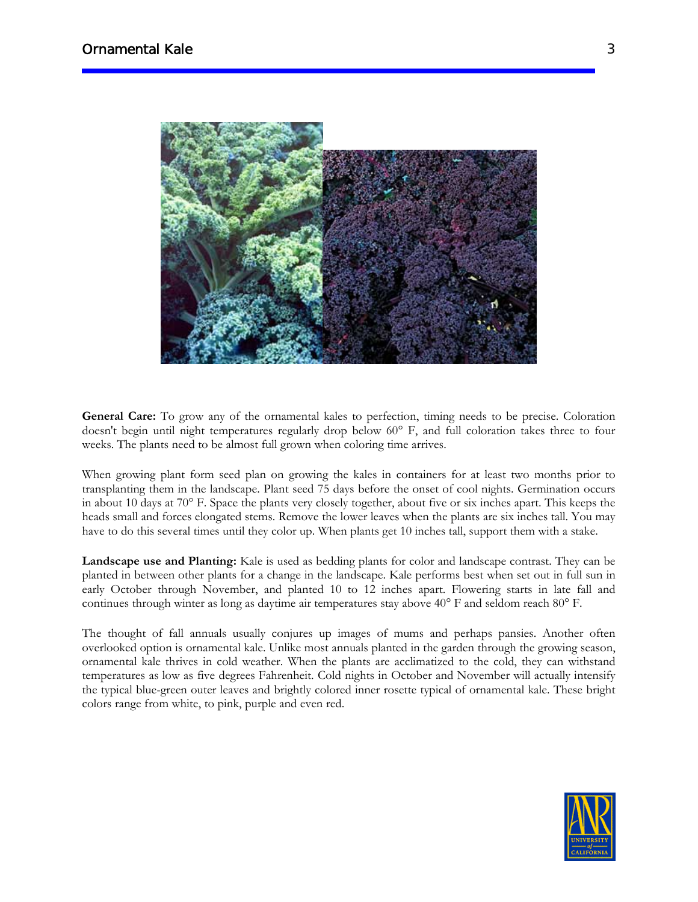

**General Care:** To grow any of the ornamental kales to perfection, timing needs to be precise. Coloration doesn't begin until night temperatures regularly drop below 60° F, and full coloration takes three to four weeks. The plants need to be almost full grown when coloring time arrives.

When growing plant form seed plan on growing the kales in containers for at least two months prior to transplanting them in the landscape. Plant seed 75 days before the onset of cool nights. Germination occurs in about 10 days at 70° F. Space the plants very closely together, about five or six inches apart. This keeps the heads small and forces elongated stems. Remove the lower leaves when the plants are six inches tall. You may have to do this several times until they color up. When plants get 10 inches tall, support them with a stake.

**Landscape use and Planting:** Kale is used as bedding plants for color and landscape contrast. They can be planted in between other plants for a change in the landscape. Kale performs best when set out in full sun in early October through November, and planted 10 to 12 inches apart. Flowering starts in late fall and continues through winter as long as daytime air temperatures stay above 40° F and seldom reach 80° F.

The thought of fall annuals usually conjures up images of mums and perhaps pansies. Another often overlooked option is ornamental kale. Unlike most annuals planted in the garden through the growing season, ornamental kale thrives in cold weather. When the plants are acclimatized to the cold, they can withstand temperatures as low as five degrees Fahrenheit. Cold nights in October and November will actually intensify the typical blue-green outer leaves and brightly colored inner rosette typical of ornamental kale. These bright colors range from white, to pink, purple and even red.